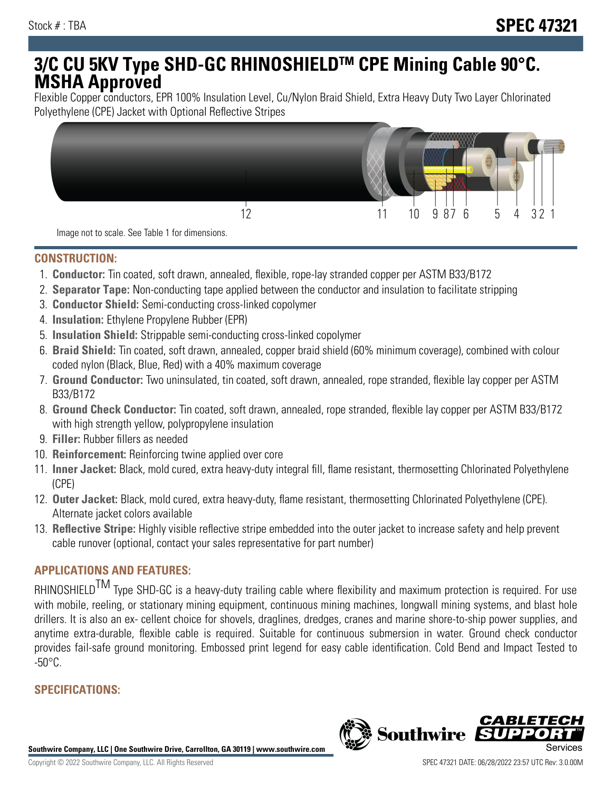# **3/C CU 5KV Type SHD-GC RHINOSHIELDTM CPE Mining Cable 90°C. MSHA Approved**

Flexible Copper conductors, EPR 100% Insulation Level, Cu/Nylon Braid Shield, Extra Heavy Duty Two Layer Chlorinated Polyethylene (CPE) Jacket with Optional Reflective Stripes



Image not to scale. See Table 1 for dimensions.

### **CONSTRUCTION:**

- 1. **Conductor:** Tin coated, soft drawn, annealed, flexible, rope-lay stranded copper per ASTM B33/B172
- 2. **Separator Tape:** Non-conducting tape applied between the conductor and insulation to facilitate stripping
- 3. **Conductor Shield:** Semi-conducting cross-linked copolymer
- 4. **Insulation:** Ethylene Propylene Rubber (EPR)
- 5. **Insulation Shield:** Strippable semi-conducting cross-linked copolymer
- 6. **Braid Shield:** Tin coated, soft drawn, annealed, copper braid shield (60% minimum coverage), combined with colour coded nylon (Black, Blue, Red) with a 40% maximum coverage
- 7. **Ground Conductor:** Two uninsulated, tin coated, soft drawn, annealed, rope stranded, flexible lay copper per ASTM B33/B172
- 8. **Ground Check Conductor:** Tin coated, soft drawn, annealed, rope stranded, flexible lay copper per ASTM B33/B172 with high strength yellow, polypropylene insulation
- 9. **Filler:** Rubber fillers as needed
- 10. **Reinforcement:** Reinforcing twine applied over core
- 11. **Inner Jacket:** Black, mold cured, extra heavy-duty integral fill, flame resistant, thermosetting Chlorinated Polyethylene (CPE)
- 12. **Outer Jacket:** Black, mold cured, extra heavy-duty, flame resistant, thermosetting Chlorinated Polyethylene (CPE). Alternate jacket colors available
- 13. **Reflective Stripe:** Highly visible reflective stripe embedded into the outer jacket to increase safety and help prevent cable runover (optional, contact your sales representative for part number)

# **APPLICATIONS AND FEATURES:**

RHINOSHIELD<sup>TM</sup> Type SHD-GC is a heavy-duty trailing cable where flexibility and maximum protection is required. For use with mobile, reeling, or stationary mining equipment, continuous mining machines, longwall mining systems, and blast hole drillers. It is also an ex- cellent choice for shovels, draglines, dredges, cranes and marine shore-to-ship power supplies, and anytime extra-durable, flexible cable is required. Suitable for continuous submersion in water. Ground check conductor provides fail-safe ground monitoring. Embossed print legend for easy cable identification. Cold Bend and Impact Tested to  $-50^{\circ}$ C.

## **SPECIFICATIONS:**

**Southwire Company, LLC | One Southwire Drive, Carrollton, GA 30119 | www.southwire.com**

**Southwire** 

CABL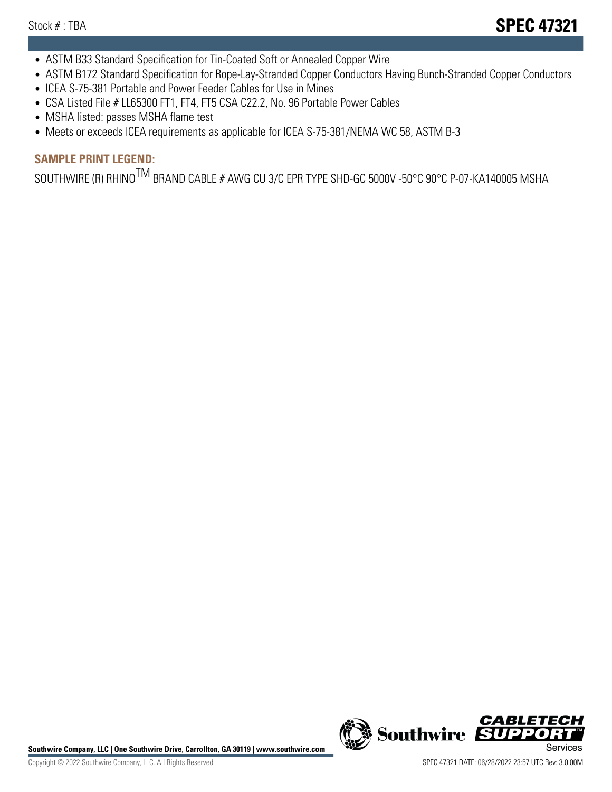- ASTM B33 Standard Specification for Tin-Coated Soft or Annealed Copper Wire
- ASTM B172 Standard Specification for Rope-Lay-Stranded Copper Conductors Having Bunch-Stranded Copper Conductors
- ICEA S-75-381 Portable and Power Feeder Cables for Use in Mines
- CSA Listed File # LL65300 FT1, FT4, FT5 CSA C22.2, No. 96 Portable Power Cables
- MSHA listed: passes MSHA flame test
- Meets or exceeds ICEA requirements as applicable for ICEA S-75-381/NEMA WC 58, ASTM B-3

# **SAMPLE PRINT LEGEND:**

SOUTHWIRE (R) RHINO<sup>TM</sup> BRAND CABLE # AWG CU 3/C EPR TYPE SHD-GC 5000V -50°C 90°C P-07-KA140005 MSHA

Southwire Company, LLC | One Southwire Drive, Carrollton, GA 30119 | www.southwire.com **Second Company, COVID Services** 



CABL